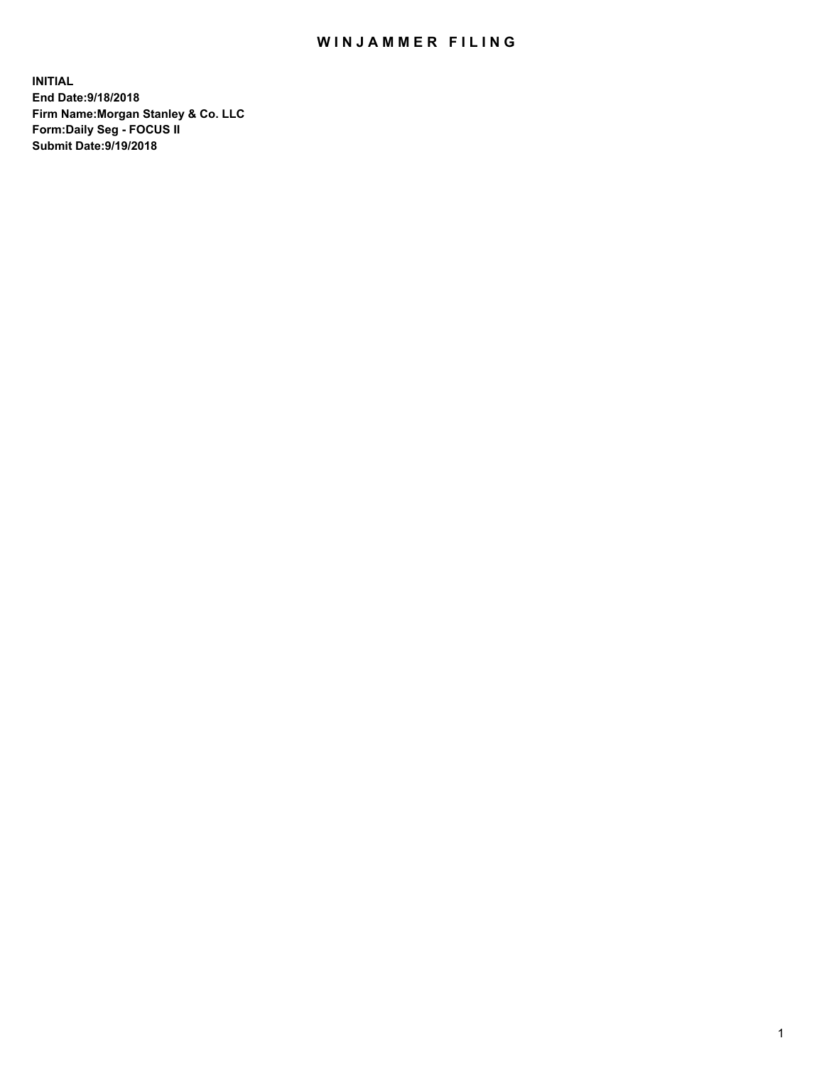## WIN JAMMER FILING

**INITIAL End Date:9/18/2018 Firm Name:Morgan Stanley & Co. LLC Form:Daily Seg - FOCUS II Submit Date:9/19/2018**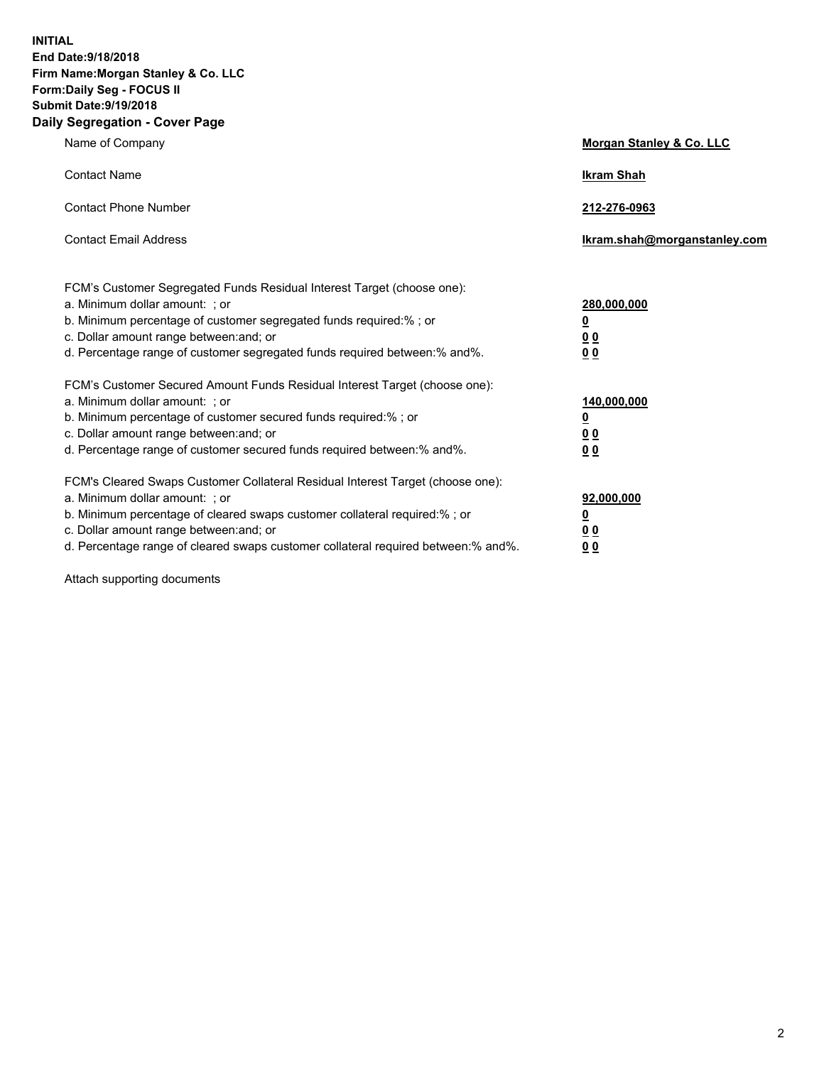**INITIAL End Date:9/18/2018 Firm Name:Morgan Stanley & Co. LLC Form:Daily Seg - FOCUS II Submit Date:9/19/2018 Daily Segregation - Cover Page**

| Name of Company                                                                                                                                                                                                                                                                                                                | Morgan Stanley & Co. LLC                               |
|--------------------------------------------------------------------------------------------------------------------------------------------------------------------------------------------------------------------------------------------------------------------------------------------------------------------------------|--------------------------------------------------------|
| <b>Contact Name</b>                                                                                                                                                                                                                                                                                                            | <b>Ikram Shah</b>                                      |
| <b>Contact Phone Number</b>                                                                                                                                                                                                                                                                                                    | 212-276-0963                                           |
| <b>Contact Email Address</b>                                                                                                                                                                                                                                                                                                   | lkram.shah@morganstanley.com                           |
| FCM's Customer Segregated Funds Residual Interest Target (choose one):<br>a. Minimum dollar amount: ; or<br>b. Minimum percentage of customer segregated funds required:% ; or<br>c. Dollar amount range between: and; or<br>d. Percentage range of customer segregated funds required between:% and%.                         | 280,000,000<br><u>0</u><br><u>0 0</u><br>0 Q           |
| FCM's Customer Secured Amount Funds Residual Interest Target (choose one):<br>a. Minimum dollar amount: ; or<br>b. Minimum percentage of customer secured funds required:%; or<br>c. Dollar amount range between: and; or<br>d. Percentage range of customer secured funds required between:% and%.                            | 140,000,000<br><u>0</u><br><u>00</u><br>0 <sub>0</sub> |
| FCM's Cleared Swaps Customer Collateral Residual Interest Target (choose one):<br>a. Minimum dollar amount: ; or<br>b. Minimum percentage of cleared swaps customer collateral required:% ; or<br>c. Dollar amount range between: and; or<br>d. Percentage range of cleared swaps customer collateral required between:% and%. | 92,000,000<br><u>0</u><br><u>00</u><br>0 <sup>0</sup>  |

Attach supporting documents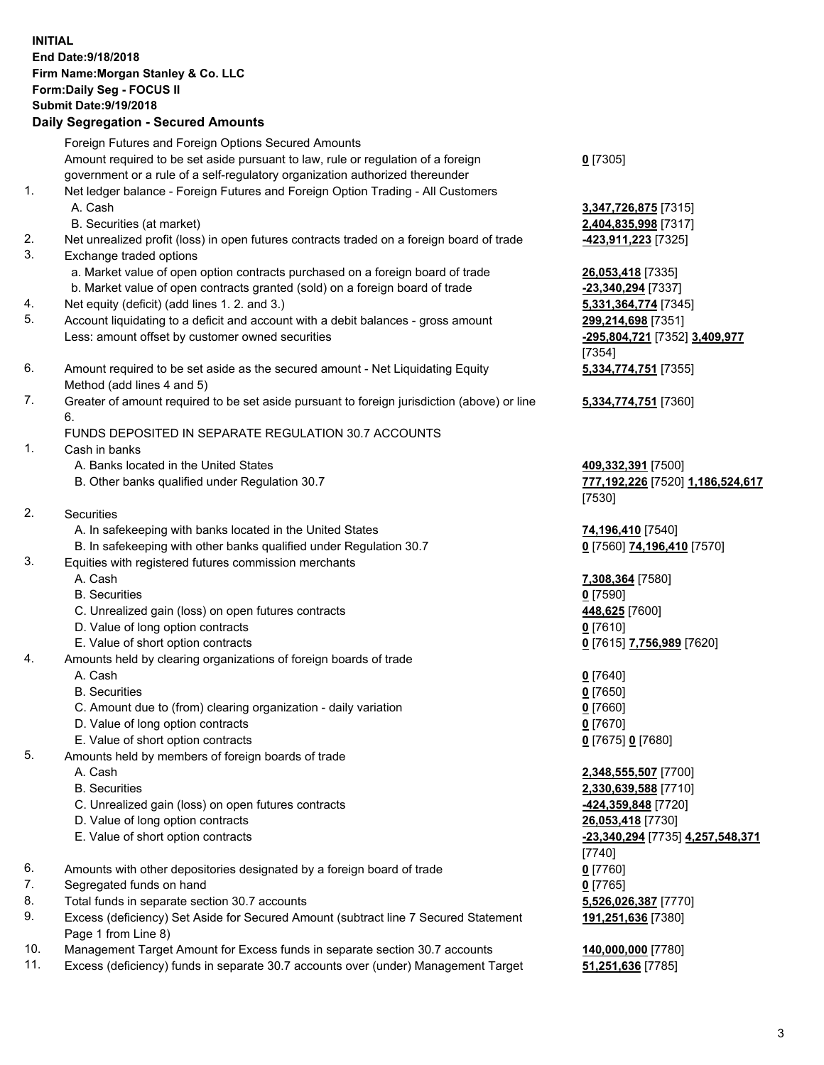## **INITIAL End Date:9/18/2018 Firm Name:Morgan Stanley & Co. LLC Form:Daily Seg - FOCUS II Submit Date:9/19/2018 Daily Segregation - Secured Amounts** Foreign Futures and Foreign Options Secured Amounts Amount required to be set aside pursuant to law, rule or regulation of a foreign government or a rule of a self-regulatory organization authorized thereunder 1. Net ledger balance - Foreign Futures and Foreign Option Trading - All Customers A. Cash **3,347,726,875** [7315] B. Securities (at market) **2,404,835,998** [7317] 2. Net unrealized profit (loss) in open futures contracts traded on a foreign board of trade **-423,911,223** [7325] 3. Exchange traded options a. Market value of open option contracts purchased on a foreign board of trade **26,053,418** [7335] b. Market value of open contracts granted (sold) on a foreign board of trade **-23,340,294** [7337] 4. Net equity (deficit) (add lines 1. 2. and 3.) **5,331,364,774** [7345] 5. Account liquidating to a deficit and account with a debit balances - gross amount **299,214,698** [7351] Less: amount offset by customer owned securities **-295,804,721** [7352] **3,409,977** 6. Amount required to be set aside as the secured amount - Net Liquidating Equity Method (add lines 4 and 5) 7. Greater of amount required to be set aside pursuant to foreign jurisdiction (above) or line 6. FUNDS DEPOSITED IN SEPARATE REGULATION 30.7 ACCOUNTS 1. Cash in banks A. Banks located in the United States **409,332,391** [7500] B. Other banks qualified under Regulation 30.7 **777,192,226** [7520] **1,186,524,617** 2. Securities A. In safekeeping with banks located in the United States **74,196,410** [7540] B. In safekeeping with other banks qualified under Regulation 30.7 **0** [7560] **74,196,410** [7570] 3. Equities with registered futures commission merchants A. Cash **7,308,364** [7580] B. Securities **0** [7590] C. Unrealized gain (loss) on open futures contracts **448,625** [7600] D. Value of long option contracts **0** [7610] E. Value of short option contracts **0** [7615] **7,756,989** [7620] 4. Amounts held by clearing organizations of foreign boards of trade A. Cash **0** [7640] B. Securities **0** [7650] C. Amount due to (from) clearing organization - daily variation **0** [7660] D. Value of long option contracts **0** [7670] E. Value of short option contracts **0** [7675] **0** [7680] 5. Amounts held by members of foreign boards of trade A. Cash **2,348,555,507** [7700] B. Securities **2,330,639,588** [7710] C. Unrealized gain (loss) on open futures contracts **-424,359,848** [7720] D. Value of long option contracts **26,053,418** [7730]

- E. Value of short option contracts **-23,340,294** [7735] **4,257,548,371**
- 6. Amounts with other depositories designated by a foreign board of trade **0** [7760]
- 7. Segregated funds on hand **0** [7765]
- 8. Total funds in separate section 30.7 accounts **5,526,026,387** [7770]
- 9. Excess (deficiency) Set Aside for Secured Amount (subtract line 7 Secured Statement Page 1 from Line 8)
- 10. Management Target Amount for Excess funds in separate section 30.7 accounts **140,000,000** [7780]
- 11. Excess (deficiency) funds in separate 30.7 accounts over (under) Management Target **51,251,636** [7785]

**0** [7305]

[7354] **5,334,774,751** [7355]

**5,334,774,751** [7360]

[7530]

[7740] **191,251,636** [7380]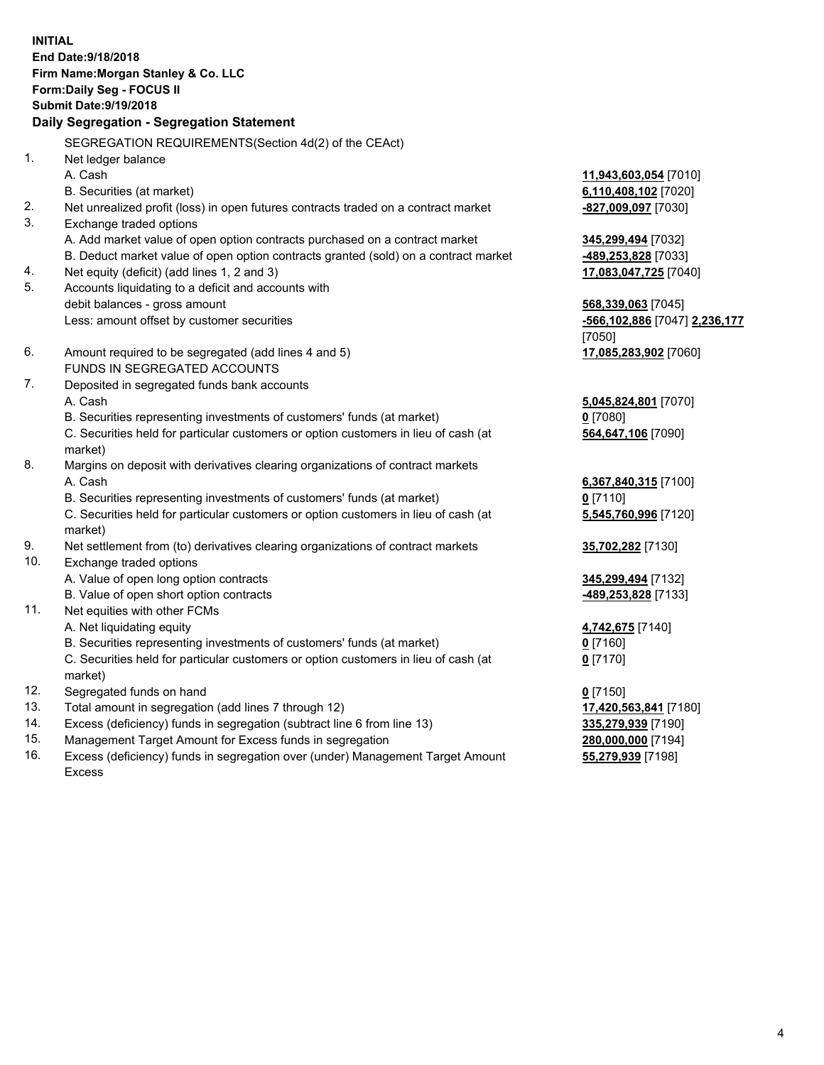**INITIAL End Date:9/18/2018 Firm Name:Morgan Stanley & Co. LLC Form:Daily Seg - FOCUS II Submit Date:9/19/2018 Daily Segregation - Segregation Statement** SEGREGATION REQUIREMENTS(Section 4d(2) of the CEAct) 1. Net ledger balance A. Cash **11,943,603,054** [7010] B. Securities (at market) **6,110,408,102** [7020] 2. Net unrealized profit (loss) in open futures contracts traded on a contract market **-827,009,097** [7030] 3. Exchange traded options A. Add market value of open option contracts purchased on a contract market **345,299,494** [7032] B. Deduct market value of open option contracts granted (sold) on a contract market **-489,253,828** [7033] 4. Net equity (deficit) (add lines 1, 2 and 3) **17,083,047,725** [7040] 5. Accounts liquidating to a deficit and accounts with debit balances - gross amount **568,339,063** [7045] Less: amount offset by customer securities **-566,102,886** [7047] **2,236,177** [7050] 6. Amount required to be segregated (add lines 4 and 5) **17,085,283,902** [7060] FUNDS IN SEGREGATED ACCOUNTS 7. Deposited in segregated funds bank accounts A. Cash **5,045,824,801** [7070] B. Securities representing investments of customers' funds (at market) **0** [7080] C. Securities held for particular customers or option customers in lieu of cash (at market) **564,647,106** [7090] 8. Margins on deposit with derivatives clearing organizations of contract markets A. Cash **6,367,840,315** [7100] B. Securities representing investments of customers' funds (at market) **0** [7110] C. Securities held for particular customers or option customers in lieu of cash (at market) **5,545,760,996** [7120] 9. Net settlement from (to) derivatives clearing organizations of contract markets **35,702,282** [7130] 10. Exchange traded options A. Value of open long option contracts **345,299,494** [7132] B. Value of open short option contracts **-489,253,828** [7133] 11. Net equities with other FCMs A. Net liquidating equity **4,742,675** [7140] B. Securities representing investments of customers' funds (at market) **0** [7160] C. Securities held for particular customers or option customers in lieu of cash (at market) **0** [7170] 12. Segregated funds on hand **0** [7150] 13. Total amount in segregation (add lines 7 through 12) **17,420,563,841** [7180] 14. Excess (deficiency) funds in segregation (subtract line 6 from line 13) **335,279,939** [7190]

- 15. Management Target Amount for Excess funds in segregation **280,000,000** [7194]
- 16. Excess (deficiency) funds in segregation over (under) Management Target Amount Excess

**55,279,939** [7198]